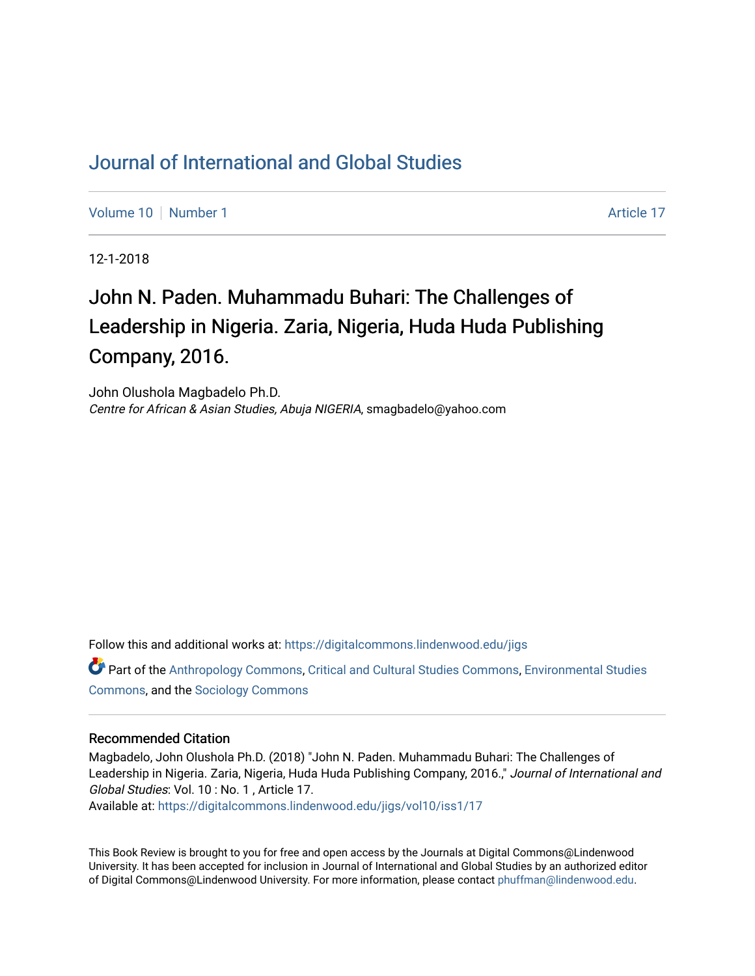# [Journal of International and Global Studies](https://digitalcommons.lindenwood.edu/jigs)

[Volume 10](https://digitalcommons.lindenwood.edu/jigs/vol10) [Number 1](https://digitalcommons.lindenwood.edu/jigs/vol10/iss1) Article 17

12-1-2018

# John N. Paden. Muhammadu Buhari: The Challenges of Leadership in Nigeria. Zaria, Nigeria, Huda Huda Publishing Company, 2016.

John Olushola Magbadelo Ph.D. Centre for African & Asian Studies, Abuja NIGERIA, smagbadelo@yahoo.com

Follow this and additional works at: [https://digitalcommons.lindenwood.edu/jigs](https://digitalcommons.lindenwood.edu/jigs?utm_source=digitalcommons.lindenwood.edu%2Fjigs%2Fvol10%2Fiss1%2F17&utm_medium=PDF&utm_campaign=PDFCoverPages) 

Part of the [Anthropology Commons](http://network.bepress.com/hgg/discipline/318?utm_source=digitalcommons.lindenwood.edu%2Fjigs%2Fvol10%2Fiss1%2F17&utm_medium=PDF&utm_campaign=PDFCoverPages), [Critical and Cultural Studies Commons](http://network.bepress.com/hgg/discipline/328?utm_source=digitalcommons.lindenwood.edu%2Fjigs%2Fvol10%2Fiss1%2F17&utm_medium=PDF&utm_campaign=PDFCoverPages), [Environmental Studies](http://network.bepress.com/hgg/discipline/1333?utm_source=digitalcommons.lindenwood.edu%2Fjigs%2Fvol10%2Fiss1%2F17&utm_medium=PDF&utm_campaign=PDFCoverPages)  [Commons](http://network.bepress.com/hgg/discipline/1333?utm_source=digitalcommons.lindenwood.edu%2Fjigs%2Fvol10%2Fiss1%2F17&utm_medium=PDF&utm_campaign=PDFCoverPages), and the [Sociology Commons](http://network.bepress.com/hgg/discipline/416?utm_source=digitalcommons.lindenwood.edu%2Fjigs%2Fvol10%2Fiss1%2F17&utm_medium=PDF&utm_campaign=PDFCoverPages)

#### Recommended Citation

Magbadelo, John Olushola Ph.D. (2018) "John N. Paden. Muhammadu Buhari: The Challenges of Leadership in Nigeria. Zaria, Nigeria, Huda Huda Publishing Company, 2016.," Journal of International and Global Studies: Vol. 10 : No. 1 , Article 17.

Available at: [https://digitalcommons.lindenwood.edu/jigs/vol10/iss1/17](https://digitalcommons.lindenwood.edu/jigs/vol10/iss1/17?utm_source=digitalcommons.lindenwood.edu%2Fjigs%2Fvol10%2Fiss1%2F17&utm_medium=PDF&utm_campaign=PDFCoverPages) 

This Book Review is brought to you for free and open access by the Journals at Digital Commons@Lindenwood University. It has been accepted for inclusion in Journal of International and Global Studies by an authorized editor of Digital Commons@Lindenwood University. For more information, please contact [phuffman@lindenwood.edu](mailto:phuffman@lindenwood.edu).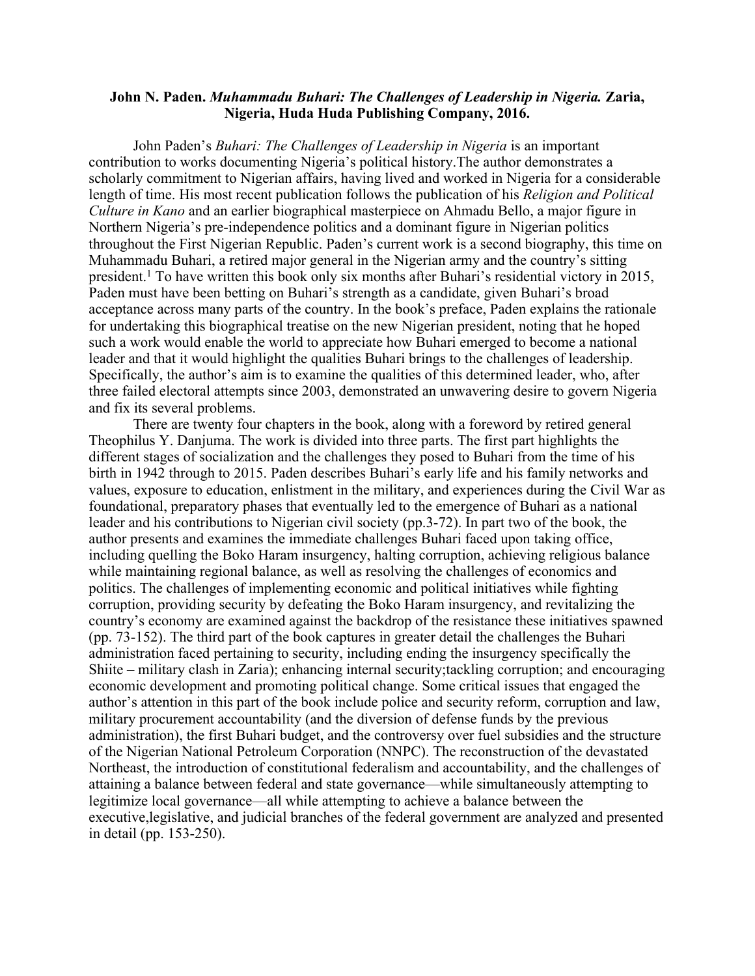### **John N. Paden.** *Muhammadu Buhari: The Challenges of Leadership in Nigeria.* **Zaria, Nigeria, Huda Huda Publishing Company, 2016.**

John Paden's *Buhari: The Challenges of Leadership in Nigeria* is an important contribution to works documenting Nigeria's political history.The author demonstrates a scholarly commitment to Nigerian affairs, having lived and worked in Nigeria for a considerable length of time. His most recent publication follows the publication of his *Religion and Political Culture in Kano* and an earlier biographical masterpiece on Ahmadu Bello, a major figure in Northern Nigeria's pre-independence politics and a dominant figure in Nigerian politics throughout the First Nigerian Republic. Paden's current work is a second biography, this time on Muhammadu Buhari, a retired major general in the Nigerian army and the country's sitting president.1 To have written this book only six months after Buhari's residential victory in 2015, Paden must have been betting on Buhari's strength as a candidate, given Buhari's broad acceptance across many parts of the country. In the book's preface, Paden explains the rationale for undertaking this biographical treatise on the new Nigerian president, noting that he hoped such a work would enable the world to appreciate how Buhari emerged to become a national leader and that it would highlight the qualities Buhari brings to the challenges of leadership. Specifically, the author's aim is to examine the qualities of this determined leader, who, after three failed electoral attempts since 2003, demonstrated an unwavering desire to govern Nigeria and fix its several problems.

There are twenty four chapters in the book, along with a foreword by retired general Theophilus Y. Danjuma. The work is divided into three parts. The first part highlights the different stages of socialization and the challenges they posed to Buhari from the time of his birth in 1942 through to 2015. Paden describes Buhari's early life and his family networks and values, exposure to education, enlistment in the military, and experiences during the Civil War as foundational, preparatory phases that eventually led to the emergence of Buhari as a national leader and his contributions to Nigerian civil society (pp.3-72). In part two of the book, the author presents and examines the immediate challenges Buhari faced upon taking office, including quelling the Boko Haram insurgency, halting corruption, achieving religious balance while maintaining regional balance, as well as resolving the challenges of economics and politics. The challenges of implementing economic and political initiatives while fighting corruption, providing security by defeating the Boko Haram insurgency, and revitalizing the country's economy are examined against the backdrop of the resistance these initiatives spawned (pp. 73-152). The third part of the book captures in greater detail the challenges the Buhari administration faced pertaining to security, including ending the insurgency specifically the Shiite – military clash in Zaria); enhancing internal security;tackling corruption; and encouraging economic development and promoting political change. Some critical issues that engaged the author's attention in this part of the book include police and security reform, corruption and law, military procurement accountability (and the diversion of defense funds by the previous administration), the first Buhari budget, and the controversy over fuel subsidies and the structure of the Nigerian National Petroleum Corporation (NNPC). The reconstruction of the devastated Northeast, the introduction of constitutional federalism and accountability, and the challenges of attaining a balance between federal and state governance—while simultaneously attempting to legitimize local governance—all while attempting to achieve a balance between the executive,legislative, and judicial branches of the federal government are analyzed and presented in detail (pp. 153-250).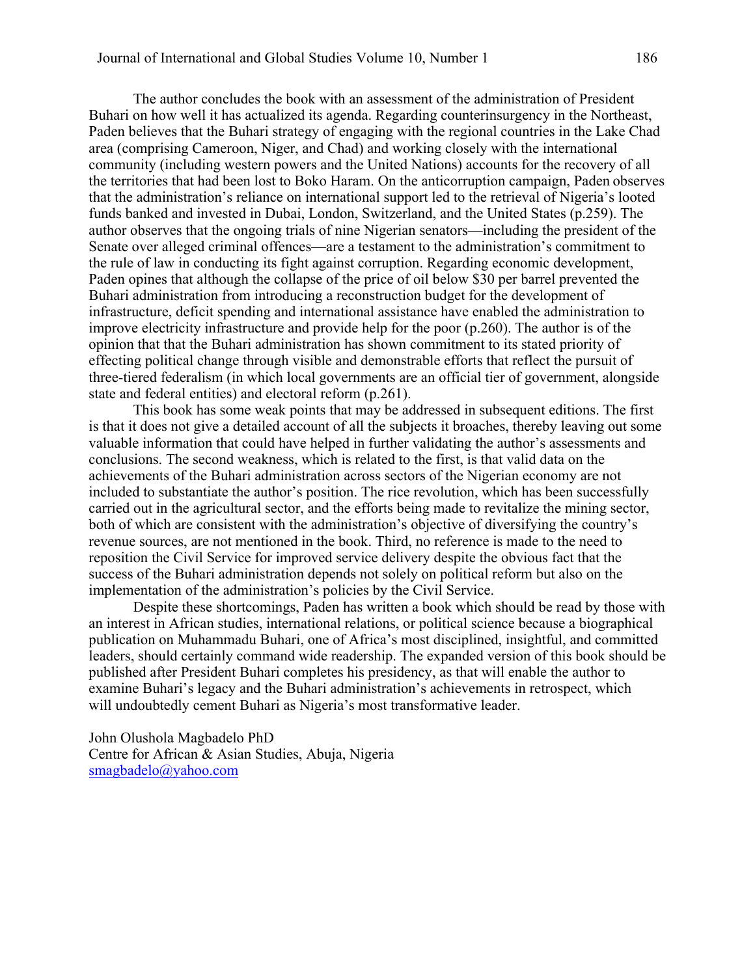The author concludes the book with an assessment of the administration of President Buhari on how well it has actualized its agenda. Regarding counterinsurgency in the Northeast, Paden believes that the Buhari strategy of engaging with the regional countries in the Lake Chad area (comprising Cameroon, Niger, and Chad) and working closely with the international community (including western powers and the United Nations) accounts for the recovery of all the territories that had been lost to Boko Haram. On the anticorruption campaign, Paden observes that the administration's reliance on international support led to the retrieval of Nigeria's looted funds banked and invested in Dubai, London, Switzerland, and the United States (p.259). The author observes that the ongoing trials of nine Nigerian senators—including the president of the Senate over alleged criminal offences—are a testament to the administration's commitment to the rule of law in conducting its fight against corruption. Regarding economic development, Paden opines that although the collapse of the price of oil below \$30 per barrel prevented the Buhari administration from introducing a reconstruction budget for the development of infrastructure, deficit spending and international assistance have enabled the administration to improve electricity infrastructure and provide help for the poor (p.260). The author is of the opinion that that the Buhari administration has shown commitment to its stated priority of effecting political change through visible and demonstrable efforts that reflect the pursuit of three-tiered federalism (in which local governments are an official tier of government, alongside state and federal entities) and electoral reform (p.261).

This book has some weak points that may be addressed in subsequent editions. The first is that it does not give a detailed account of all the subjects it broaches, thereby leaving out some valuable information that could have helped in further validating the author's assessments and conclusions. The second weakness, which is related to the first, is that valid data on the achievements of the Buhari administration across sectors of the Nigerian economy are not included to substantiate the author's position. The rice revolution, which has been successfully carried out in the agricultural sector, and the efforts being made to revitalize the mining sector, both of which are consistent with the administration's objective of diversifying the country's revenue sources, are not mentioned in the book. Third, no reference is made to the need to reposition the Civil Service for improved service delivery despite the obvious fact that the success of the Buhari administration depends not solely on political reform but also on the implementation of the administration's policies by the Civil Service.

Despite these shortcomings, Paden has written a book which should be read by those with an interest in African studies, international relations, or political science because a biographical publication on Muhammadu Buhari, one of Africa's most disciplined, insightful, and committed leaders, should certainly command wide readership. The expanded version of this book should be published after President Buhari completes his presidency, as that will enable the author to examine Buhari's legacy and the Buhari administration's achievements in retrospect, which will undoubtedly cement Buhari as Nigeria's most transformative leader.

John Olushola Magbadelo PhD Centre for African & Asian Studies, Abuja, Nigeria smagbadelo@yahoo.com